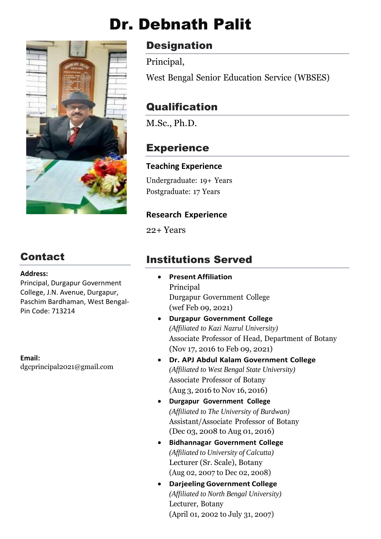# Dr. Debnath Palit



# **Contact**

#### **Address:**

Principal, Durgapur Government College, J.N. Avenue, Durgapur, Paschim Bardhaman, West Bengal-Pin Code: 713214

**Email:** dgcprincipal2021@gmail.com

# **Designation**

Principal,

West Bengal Senior Education Service (WBSES)

# **Qualification**

M.Sc., Ph.D.

# **Experience**

#### **Teaching Experience**

Undergraduate: 19+ Years Postgraduate: 17 Years

#### **Research Experience**

22+ Years

# Institutions Served

- **Present Affiliation** Principal Durgapur Government College (wef Feb 09, 2021)
- **Durgapur Government College** *(Affiliated to Kazi Nazrul University)* Associate Professor of Head, Department of Botany (Nov 17, 2016 to Feb 09, 2021)
- **Dr. APJ Abdul Kalam Government College** *(Affiliated to West Bengal State University)* Associate Professor of Botany (Aug 3, 2016 to Nov 16, 2016)
- **Durgapur Government College** *(Affiliated to The University of Burdwan)* Assistant/Associate Professor of Botany (Dec 03, 2008 to Aug 01, 2016)
- **Bidhannagar Government College** *(Affiliated to University of Calcutta)* Lecturer (Sr. Scale), Botany (Aug 02, 2007 to Dec 02, 2008)
- **Darjeeling Government College** *(Affiliated to North Bengal University)* Lecturer, Botany (April 01, 2002 to July 31, 2007)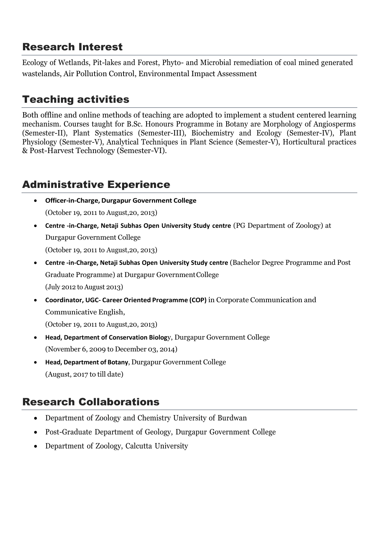# Research Interest

Ecology of Wetlands, Pit-lakes and Forest, Phyto- and Microbial remediation of coal mined generated wastelands, Air Pollution Control, Environmental Impact Assessment

# Teaching activities

Both offline and online methods of teaching are adopted to implement a student centered learning mechanism. Courses taught for B.Sc. Honours Programme in Botany are Morphology of Angiosperms (Semester-II), Plant Systematics (Semester-III), Biochemistry and Ecology (Semester-IV), Plant Physiology (Semester-V), Analytical Techniques in Plant Science (Semester-V), Horticultural practices & Post-Harvest Technology (Semester-VI).

# Administrative Experience

- **Officer-in-Charge, Durgapur Government College** (October 19, 2011 to August,20, 2013)
- **Centre -in-Charge, Netaji Subhas Open University Study centre** (PG Department of Zoology) at Durgapur Government College (October 19, 2011 to August,20, 2013)
- **Centre -in-Charge, Netaji Subhas Open University Study centre** (Bachelor Degree Programme and Post Graduate Programme) at Durgapur GovernmentCollege (July 2012 to August 2013)
- **Coordinator, UGC- Career Oriented Programme (COP)** in Corporate Communication and Communicative English,

(October 19, 2011 to August,20, 2013)

- **Head, Department of Conservation Biolog**y, Durgapur Government College (November 6, 2009 to December 03, 2014)
- **Head, Department of Botany**, Durgapur Government College (August, 2017 to till date)

# Research Collaborations

- Department of Zoology and Chemistry University of Burdwan
- Post-Graduate Department of Geology, Durgapur Government College
- Department of Zoology, Calcutta University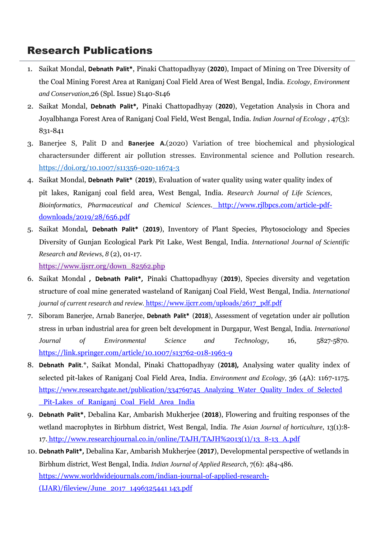- 1. Saikat Mondal, **Debnath Palit\***, Pinaki Chattopadhyay (**2020**), Impact of Mining on Tree Diversity of the Coal Mining Forest Area at Raniganj Coal Field Area of West Bengal, India. *Ecology, Environment and Conservation*,26 (Spl. Issue) S140-S146
- 2. Saikat Mondal, **Debnath Palit\*,** Pinaki Chattopadhyay (**2020**), Vegetation Analysis in Chora and Joyalbhanga Forest Area of Raniganj Coal Field, West Bengal, India. *Indian Journal of Ecology* , 47(3): 831-841
- 3. Banerjee S, Palit D and **Banerjee A.**(2020) Variation of tree biochemical and physiological charactersunder different air pollution stresses. Environmental science and Pollution research. <https://doi.org/10.1007/s11356-020-11674-3>
- 4. Saikat Mondal, **Debnath Palit\*** (**2019**), Evaluation of water quality using water quality index of pit lakes, Raniganj coal field area, West Bengal, India. *Research Journal of Life Sciences, Bioinformatics, Pharmaceutical and Chemical Sciences*. [http://www.rjlbpcs.com/article-pdf](http://www.rjlbpcs.com/article-pdf-downloads/2019/28/656.pdf)[downloads/2019/28/656.pdf](http://www.rjlbpcs.com/article-pdf-downloads/2019/28/656.pdf)
- 5. Saikat Mondal**, Debnath Palit\*** (**2019**), Inventory of Plant Species, Phytosociology and Species Diversity of Gunjan Ecological Park Pit Lake, West Bengal, India. *International Journal of Scientific Research and Reviews, 8* (2), 01-17.

[https://www.ijsrr.org/down\\_82562.php](https://www.ijsrr.org/down_82562.php)

- 6. Saikat Mondal **, Debnath Palit\*,** Pinaki Chattopadhyay (**2019**), Species diversity and vegetation structure of coal mine generated wasteland of Raniganj Coal Field, West Bengal, India. *International journal of current research and review.* [https://www.ijcrr.com/uploads/2617\\_pdf.pdf](https://www.ijcrr.com/uploads/2617_pdf.pdf)
- 7. Siboram Banerjee, Arnab Banerjee, **Debnath Palit\*** (**2018**), Assessment of vegetation under air pollution stress in urban industrial area for green belt development in Durgapur, West Bengal, India. *International Journal of Environmental Science and Technology*, 16, 5827-5870. <https://link.springer.com/article/10.1007/s13762-018-1963-9>
- 8. **Debnath Palit**.\*, Saikat Mondal, Pinaki Chattopadhyay (**2018),** Analysing water quality index of selected pit-lakes of Raniganj Coal Field Area, India. *Environment and Ecology,* 36 (4A): 1167-117[5.](https://www.researchgate.net/publication/334769745_Analyzing_Water_Quality_Index_of_Selected_Pit-Lakes_of_Raniganj_Coal_Field_Area_India) [https://www.researchgate.net/publication/334769745\\_Analyzing\\_Water\\_Quality\\_Index\\_of\\_Selected](https://www.researchgate.net/publication/334769745_Analyzing_Water_Quality_Index_of_Selected_Pit-Lakes_of_Raniganj_Coal_Field_Area_India) Pit-Lakes of Raniganj Coal Field Area India
- 9. **Debnath Palit\***, Debalina Kar, Ambarish Mukherjee (**2018**), Flowering and fruiting responses of the wetland macrophytes in Birbhum district, West Bengal, India. *The Asian Journal of horticulture*, 13(1):8- 17. [http://www.researchjournal.co.in/online/TAJH/TAJH%2013\(1\)/13\\_8-13\\_A.pdf](http://www.researchjournal.co.in/online/TAJH/TAJH%2013(1)/13_8-13_A.pdf)
- 10. **Debnath Palit\*,** Debalina Kar, Ambarish Mukherjee (**2017**), Developmental perspective of wetlands in Birbhum district, West Bengal, India. *Indian Journal of Applied Research*, 7(6): 484-486. [https://www.worldwidejournals.com/indian-journal-of-applied-research-](https://www.worldwidejournals.com/indian-journal-of-applied-research-(IJAR)/fileview/June_2017_1496325441__143.pdf) [\(IJAR\)/fileview/June\\_2017\\_1496325441](https://www.worldwidejournals.com/indian-journal-of-applied-research-(IJAR)/fileview/June_2017_1496325441__143.pdf) 143.pdf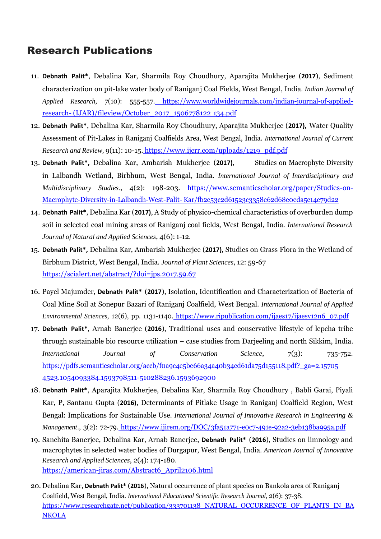- 11. **Debnath Palit\***, Debalina Kar, Sharmila Roy Choudhury, Aparajita Mukherjee (**2017**), Sediment characterization on pit-lake water body of Raniganj Coal Fields, West Bengal, India*. Indian Journal of Applied Research*, 7(10): 555-557. [https://www.worldwidejournals.com/indian-journal-of-applied](https://www.worldwidejournals.com/indian-journal-of-applied-research-(IJAR)/fileview/October_2017_1506778122__134.pdf)[research-](https://www.worldwidejournals.com/indian-journal-of-applied-research-(IJAR)/fileview/October_2017_1506778122__134.pdf) [\(IJAR\)/fileview/October\\_2017\\_1506778122](https://www.worldwidejournals.com/indian-journal-of-applied-research-(IJAR)/fileview/October_2017_1506778122__134.pdf) 134.pdf
- 12. **Debnath Palit\***, Debalina Kar, Sharmila Roy Choudhury, Aparajita Mukherjee (**2017),** Water Quality Assessment of Pit-Lakes in Raniganj Coalfields Area, West Bengal, India. *International Journal of Current Research and Review,* 9(11): 10-15. [https://www.ijcrr.com/uploads/1219\\_pdf.pdf](https://www.ijcrr.com/uploads/1219_pdf.pdf)
- 13. **Debnath Palit\*,** Debalina Kar, Ambarish Mukherjee (**2017),** Studies on Macrophyte Diversity in Lalbandh Wetland, Birbhum, West Bengal, India. *International Journal of Interdisciplinary and Multidisciplinary Studies.*, 4(2): 198-203. [https://www.semanticscholar.org/paper/Studies-on-](https://www.semanticscholar.org/paper/Studies-on-Macrophyte-Diversity-in-Lalbandh-West-Palit-Kar/fb2e53c2d61523c3358e62d68e0eda5c14e79d22)[Macrophyte-Diversity-in-Lalbandh-West-Palit-](https://www.semanticscholar.org/paper/Studies-on-Macrophyte-Diversity-in-Lalbandh-West-Palit-Kar/fb2e53c2d61523c3358e62d68e0eda5c14e79d22) [Kar/fb2e53c2d61523c3358e62d68e0eda5c14e79d22](https://www.semanticscholar.org/paper/Studies-on-Macrophyte-Diversity-in-Lalbandh-West-Palit-Kar/fb2e53c2d61523c3358e62d68e0eda5c14e79d22)
- 14. **Debnath Palit\***, Debalina Kar (**2017)**, A Study of physico-chemical characteristics of overburden dump soil in selected coal mining areas of Raniganj coal fields, West Bengal, India. *International Research Journal of Natural and Applied Sciences*, 4(6): 1-12.
- 15. **Debnath Palit\*,** Debalina Kar, Ambarish Mukherjee (**2017),** Studies on Grass Flora in the Wetland of Birbhum District, West Bengal, India. *Journal of Plant Sciences*, 12: 59-67 <https://scialert.net/abstract/?doi=jps.2017.59.67>
- 16. Payel Majumder, **Debnath Palit\*** (**2017**), Isolation, Identification and Characterization of Bacteria of Coal Mine Soil at Sonepur Bazari of Raniganj Coalfield, West Bengal. *International Journal of Applied Environmental Sciences*, 12(6), pp. 1131-1140. [https://www.ripublication.com/ijaes17/ijaesv12n6\\_07.pdf](https://www.ripublication.com/ijaes17/ijaesv12n6_07.pdf)
- 17. **Debnath Palit\***, Arnab Banerjee (**2016**), Traditional uses and conservative lifestyle of lepcha tribe through sustainable bio resource utilization – case studies from Darjeeling and north Sikkim, India. *International Journal of Conservation Science*, 7(3): 735-752. [https://pdfs.semanticscholar.org/accb/f0a9c4e5be66a34a40b34cd61da75d155118.pdf?\\_ga=2.15705](https://pdfs.semanticscholar.org/accb/f0a9c4e5be66a34a40b34cd61da75d155118.pdf?_ga=2.157054523.1054093384.1593798511-510288236.1593692900) 4523.1054093384.1593798511-510288236.1593692900
- 18. **Debnath Palit\***, Aparajita Mukherjee, Debalina Kar, Sharmila Roy Choudhury , Babli Garai, Piyali Kar, P, Santanu Gupta (**2016)**, Determinants of Pitlake Usage in Raniganj Coalfield Region, West Bengal: Implications for Sustainable Use. *International Journal of Innovative Research in Engineering & Management*., 3(2): 72-79. <https://www.ijirem.org/DOC/3fa51a771-e0c7-491e-92a2-3eb138ba995a.pdf>
- 19. Sanchita Banerjee, Debalina Kar, Arnab Banerjee, **Debnath Palit\*** (**2016**), Studies on limnology and macrophytes in selected water bodies of Durgapur, West Bengal, India. *American Journal of Innovative Research and Applied Sciences*, 2(4): 174-180. [https://american-jiras.com/Abstract6\\_April2106.html](https://american-jiras.com/Abstract6_April2106.html)
- 20. Debalina Kar, **Debnath Palit\*** (**2016**), Natural occurrence of plant species on Bankola area of Raniganj Coalfield, West Bengal, India. *International Educational Scientific Research Journal,* 2(6): 37-38. [https://www.researchgate.net/publication/333701138\\_NATURAL\\_OCCURRENCE\\_OF\\_PLANTS\\_IN\\_BA](https://www.researchgate.net/publication/333701138_NATURAL_OCCURRENCE_OF_PLANTS_IN_BANKOLA) **[NKOLA](https://www.researchgate.net/publication/333701138_NATURAL_OCCURRENCE_OF_PLANTS_IN_BANKOLA)**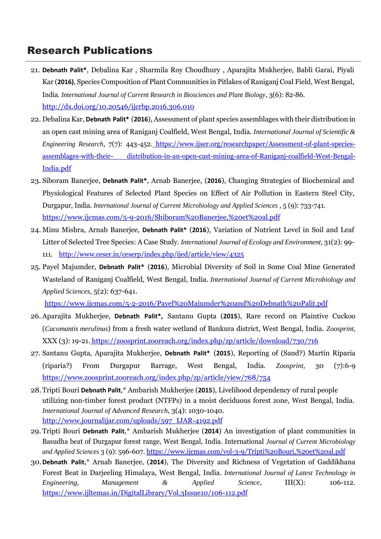- 21. **Debnath Palit\***, Debalina Kar , Sharmila Roy Choudhury , Aparajita Mukherjee, Babli Garai, Piyali Kar (**2016)**, Species Composition of Plant Communities in Pitlakes of Raniganj Coal Field, West Bengal, India*. International Journal of Current Research in Biosciences and Plant Biology*, 3(6): 82-86. <http://dx.doi.org/10.20546/ijcrbp.2016.306.010>
- 22. DebalinaKar, **Debnath Palit\*** (**2016**), Assessment of plant species assemblages with their distribution in an open cast mining area of Raniganj Coalfield, West Bengal, India. *International Journal of Scientific & Engineering Research*, 7(7): 443-452. [https://www.ijser.org/researchpaper/Assessment-of-plant-species](https://www.ijser.org/researchpaper/Assessment-of-plant-species-assemblages-with-their-distribution-in-an-open-cast-mining-area-of-Raniganj-coalfield-West-Bengal-India.pdf)[assemblages-with-their-](https://www.ijser.org/researchpaper/Assessment-of-plant-species-assemblages-with-their-distribution-in-an-open-cast-mining-area-of-Raniganj-coalfield-West-Bengal-India.pdf) [distribution-in-an-open-cast-mining-area-of-Raniganj-coalfield-West-Bengal-](https://www.ijser.org/researchpaper/Assessment-of-plant-species-assemblages-with-their-distribution-in-an-open-cast-mining-area-of-Raniganj-coalfield-West-Bengal-India.pdf)India.pdf
- 23. Siboram Banerjee, **Debnath Palit\***, Arnab Banerjee, (**2016**), Changing Strategies of Biochemical and Physiological Features of Selected Plant Species on Effect of Air Pollution in Eastern Steel City, Durgapur, India. *International Journal of Current Microbiology and Applied Sciences* , 5 (9): 733-741. [https://www.ijcmas.com/5-9-2016/Shiboram%20Banerjee,%20et%20al.pdf](https://www.ijcmas.com/5-9-2016/Shiboram%20Banerjee%2C%20et%20al.pdf)
- 24. Minu Mishra, Arnab Banerjee, **Debnath Palit\*** (**2016**), Variation of Nutrient Level in Soil and Leaf Litter of Selected Tree Species: A Case Study. *International Journal of Ecology and Environment,* 31(2): 99- 111. <http://www.ceser.in/ceserp/index.php/ijed/article/view/4325>
- 25. Payel Majumder, **Debnath Palit\*** (**2016**), Microbial Diversity of Soil in Some Coal Mine Generated Wasteland of Raniganj Coalfield, West Bengal, India. *International Journal of Current Microbiology and Applied Sciences*, 5(2): 637-641.

<https://www.ijcmas.com/5-2-2016/Payel%20Majumder%20and%20Debnath%20Palit.pdf>

- 26. Aparajita Mukherjee, **Debnath Palit\*,** Santanu Gupta (**2015**), Rare record on Plaintive Cuckoo (*Cacomantis merulinus*) from a fresh water wetland of Bankura district, West Bengal, India. *Zoosprint,* XXX (3): 19-21. <https://zoosprint.zooreach.org/index.php/zp/article/download/730/716>
- 27. Santanu Gupta, Aparajita Mukherjee, **Debnath Palit\*** (**2015**), Reporting of (Sand?) Martin Riparia (riparia?) From Durgapur Barrage, West Bengal, India. *Zoosprint,* 30 (7):6-9 <https://www.zoosprint.zooreach.org/index.php/zp/article/view/768/754>
- 28.Tripti Bouri **Debnath Palit**,\* Ambarish Mukherjee (**2015**), Livelihood dependency of rural people utilizing non-timber forest product (NTFPs) in a moist deciduous forest zone, West Bengal, India. *International Journal of Advanced Research*, 3(4): 1030-1040. [http://www.journalijar.com/uploads/597\\_IJAR-4192.pdf](http://www.journalijar.com/uploads/597_IJAR-4192.pdf)
- 29. Tripti Bouri **Debnath Palit**,\* Ambarish Mukherjee (**2014**) An investigation of plant communities in Basudha beat of Durgapur forest range, West Bengal, India. International *Journal of Current Microbiology and Applied Sciences* 3 (9): 596-607. [https://www.ijcmas.com/vol-3-9/Tripti%20Bouri,%20et%20al.pdf](https://www.ijcmas.com/vol-3-9/Tripti%20Bouri%2C%20et%20al.pdf)
- 30.**Debnath Palit**,\* Arnab Banerjee, (**2014**), The Diversity and Richness of Vegetation of Gaddikhana Forest Beat in Darjeeling Himalaya, West Bengal, India. *International Journal of Latest Technology in Engineering, Management & Applied Science*, III(X): 106-11[2.](https://www.ijltemas.in/DigitalLibrary/Vol.3Issue10/106-112.pdf) <https://www.ijltemas.in/DigitalLibrary/Vol.3Issue10/106-112.pdf>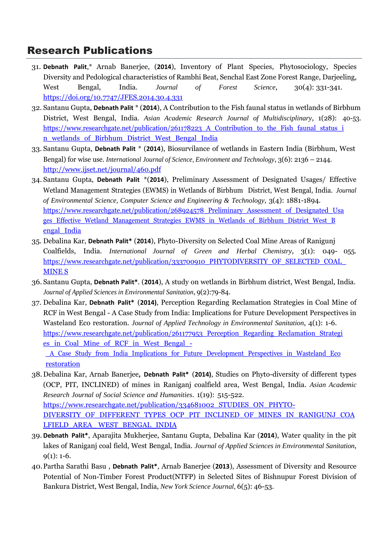- 31. **Debnath Palit**,\* Arnab Banerjee, (**2014**), Inventory of Plant Species, Phytosociology, Species Diversity and Pedological characteristics of Rambhi Beat, Senchal East Zone Forest Range, Darjeeling, West Bengal, India. *Journal of Forest Science*, 30(4): 331-341. <https://doi.org/10.7747/JFES.2014.30.4.331>
- 32. Santanu Gupta, **Debnath Palit** \* (**2014**), A Contribution to the Fish faunal status in wetlands of Birbhum District, West Bengal, India. *Asian Academic Research Journal of Multidisciplinary*, 1(28): 40-53. [https://www.researchgate.net/publication/261178223\\_A\\_Contribution\\_to\\_the\\_Fish\\_faunal\\_status\\_i](https://www.researchgate.net/publication/261178223_A_Contribution_to_the_Fish_faunal_status_in_wetlands_of_Birbhum_District_West_Bengal_India) [n\\_wetlands\\_of\\_Birbhum\\_District\\_West\\_Bengal\\_India](https://www.researchgate.net/publication/261178223_A_Contribution_to_the_Fish_faunal_status_in_wetlands_of_Birbhum_District_West_Bengal_India)
- 33. Santanu Gupta, **Debnath Palit** \* (**2014**), Biosurvilance of wetlands in Eastern India (Birbhum, West Bengal) for wise use. *International Journal of Science, Environment and Technology*, 3(6): 2136 – 2144. <http://www.ijset.net/journal/460.pdf>
- 34. Santanu Gupta, **Debnath Palit** \*(**2014**), Preliminary Assessment of Designated Usages/ Effective Wetland Management Strategies (EWMS) in Wetlands of Birbhum District, West Bengal, India. *Journal of Environmental Science, Computer Science and Engineering & Technology*, 3(4): 1881-1894. https://www.researchgate.net/publication/268924578 Preliminary Assessment of Designated Usa ges\_Effective\_Wetland\_Management\_Strategies\_EWMS\_in\_Wetlands\_of\_Birbhum\_District\_West\_B [engal\\_India](https://www.researchgate.net/publication/268924578_Preliminary_Assessment_of_Designated_Usages_Effective_Wetland_Management_Strategies_EWMS_in_Wetlands_of_Birbhum_District_West_Bengal_India)
- 35. Debalina Kar, **Debnath Palit\*** (**2014**), Phyto-Diversity on Selected Coal Mine Areas of Ranigunj Coalfields, India. *International Journal of Green and Herbal Chemistry*, 3(1): 049- 05[5.](https://www.researchgate.net/publication/333700910_PHYTODIVERSITY_OF_SELECTED_COAL_MINES) https://www.researchgate.net/publication/333700910\_PHYTODIVERSITY\_OF\_SELECTED\_COAL [MINE](https://www.researchgate.net/publication/333700910_PHYTODIVERSITY_OF_SELECTED_COAL_MINES) [S](https://www.researchgate.net/publication/333700910_PHYTODIVERSITY_OF_SELECTED_COAL_MINES)
- 36. Santanu Gupta, **Debnath Palit\***. (**2014**), A study on wetlands in Birbhum district, West Bengal, India. *Journal of Applied Sciences in Environmental Sanitation*, 9(2):79-84.
- 37. Debalina Kar, **Debnath Palit\*** (**2014)**, Perception Regarding Reclamation Strategies in Coal Mine of RCF in West Bengal - A Case Study from India: Implications for Future Development Perspectives in Wasteland Eco restoration. *Journal of Applied Technology in Environmental Sanitation*, 4(1): 1-6. [https://www.researchgate.net/publication/261177953\\_Perception\\_Regarding\\_Reclamation\\_Strategi](https://www.researchgate.net/publication/261177953_Perception_Regarding_Reclamation_Strategies_in_Coal_Mine_of_RCF_in_West_Bengal_-_A_Case_Study_from_India_Implications_for_Future_Development_Perspectives_in_Wasteland_Ecorestoration) es\_in\_Coal\_Mine\_of\_RCF\_in\_West\_Bengal\_-

[\\_A\\_Case\\_Study\\_from\\_India\\_Implications\\_for\\_Future\\_Development\\_Perspectives\\_in\\_Wasteland\\_Eco](https://www.researchgate.net/publication/261177953_Perception_Regarding_Reclamation_Strategies_in_Coal_Mine_of_RCF_in_West_Bengal_-_A_Case_Study_from_India_Implications_for_Future_Development_Perspectives_in_Wasteland_Ecorestoration) [restoration](https://www.researchgate.net/publication/261177953_Perception_Regarding_Reclamation_Strategies_in_Coal_Mine_of_RCF_in_West_Bengal_-_A_Case_Study_from_India_Implications_for_Future_Development_Perspectives_in_Wasteland_Ecorestoration)

- 38.Debalina Kar, Arnab Banerjee**, Debnath Palit\*** (**2014)**, Studies on Phyto-diversity of different types (OCP, PIT, INCLINED) of mines in Raniganj coalfield area, West Bengal, India. *Asian Academic Research Journal of Social Science and Humanities*. 1(19): 515-52[2.](https://www.researchgate.net/publication/334681002_STUDIES_ON_PHYTO-DIVERSITY_OF_DIFFERENT_TYPES_OCP_PIT_INCLINED_OF_MINES_IN_RANIGUNJ_COALFIELD_AREA_WEST_BENGAL_INDIA) https://www.researchgate.net/publication/334681002 STUDIES ON PHYTO-DIVERSITY\_OF\_DIFFERENT\_TYPES\_OCP\_PIT\_INCLINED\_OF\_MINES\_IN\_RANIGUNJ\_COA LFIELD\_AREA\_ [WEST\\_BENGAL\\_INDIA](https://www.researchgate.net/publication/334681002_STUDIES_ON_PHYTO-DIVERSITY_OF_DIFFERENT_TYPES_OCP_PIT_INCLINED_OF_MINES_IN_RANIGUNJ_COALFIELD_AREA_WEST_BENGAL_INDIA)
- 39. **Debnath Palit\***, Aparajita Mukherjee, Santanu Gupta, Debalina Kar (**2014**), Water quality in the pit lakes of Raniganj coal field, West Bengal, India. *Journal of Applied Sciences in Environmental Sanitation*,  $9(1)$ : 1-6.
- 40.Partha Sarathi Basu , **Debnath Palit\***, Arnab Banerjee (**2013**), Assessment of Diversity and Resource Potential of Non-Timber Forest Product(NTFP) in Selected Sites of Bishnupur Forest Division of Bankura District, West Bengal, India, *New York Science Journal,* 6(5): 46-53.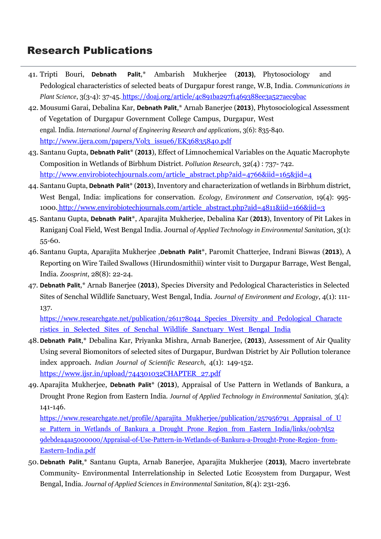- 41. Tripti Bouri, **Debnath Palit**,\* Ambarish Mukherjee (**2013)**, Phytosociology and Pedological characteristics of selected beats of Durgapur forest range, W.B, India. *Communications in Plant Science*, 3(3-4): 37-45. <https://doaj.org/article/4c891ba297f1469388ee3a527aec9bac>
- 42. Mousumi Garai, Debalina Kar, **Debnath Palit**,\* Arnab Banerjee (**2013**), Phytosociological Assessment of Vegetation of Durgapur Government College Campus, Durgapur, West engal. India. *International Journal of Engineering Research and applications*, 3(6): 835-840. [http://www.ijera.com/papers/Vol3\\_issue6/EK36835840.pdf](http://www.ijera.com/papers/Vol3_issue6/EK36835840.pdf)
- 43. Santanu Gupta, **Debnath Palit**\* (**2013**), Effect of Limnochemical Variables on the Aquatic Macrophyte Composition in Wetlands of Birbhum District. *Pollution Research*, 32(4) : 737- 742. [http://www.envirobiotechjournals.com/article\\_abstract.php?aid=4766&iid=165&jid=4](http://www.envirobiotechjournals.com/article_abstract.php?aid=4766&iid=165&jid=4)
- 44. Santanu Gupta, **Debnath Palit**\* (**2013**),Inventory and characterization of wetlands in Birbhum district, West Bengal, India: implications for conservation. *Ecology, Environment and Conservation,* 19(4): 995- 1000. [http://www.envirobiotechjournals.com/article\\_abstract.php?aid=4811&iid=166&jid=3](http://www.envirobiotechjournals.com/article_abstract.php?aid=4811&iid=166&jid=3)
- 45. Santanu Gupta, **Debnath Palit**\*, Aparajita Mukherjee, Debalina Kar (**2013**), Inventory of Pit Lakes in Raniganj Coal Field, West Bengal India. Journal *of Applied Technology in Environmental Sanitation*, 3(1): 55-60.
- 46. Santanu Gupta, Aparajita Mukherjee ,**Debnath Palit**\*, Paromit Chatterjee, Indrani Biswas (**2013**), A Reporting on Wire Tailed Swallows (Hirundosmithii) winter visit to Durgapur Barrage, West Bengal, India. *Zoosprint*, 28(8): 22-24.
- 47. **Debnath Palit**,\* Arnab Banerjee (**2013**), Species Diversity and Pedological Characteristics in Selected Sites of Senchal Wildlife Sanctuary, West Bengal, India. *Journal of Environment and Ecology*, 4(1): 111- 137.

[https://www.researchgate.net/publication/261178044\\_Species\\_Diversity\\_and\\_Pedological\\_Characte](https://www.researchgate.net/publication/261178044_Species_Diversity_and_Pedological_Characteristics_in_Selected_Sites_of_Senchal_Wildlife_Sanctuary_West_Bengal_India) ristics in Selected Sites of Senchal Wildlife Sanctuary West Bengal India

- 48.**Debnath Palit**,\* Debalina Kar, Priyanka Mishra, Arnab Banerjee, (**2013**), Assessment of Air Quality Using several Biomonitors of selected sites of Durgapur, Burdwan District by Air Pollution tolerance index approach. *Indian Journal of Scientific Research*, 4(1): 149-15[2.](https://www.ijsr.in/upload/744301032CHAPTER_27.pdf) [https://www.ijsr.in/upload/744301032CHAPTER\\_27.pdf](https://www.ijsr.in/upload/744301032CHAPTER_27.pdf)
- 49. Aparajita Mukherjee, **Debnath Palit**\* (**2013**), Appraisal of Use Pattern in Wetlands of Bankura, a Drought Prone Region from Eastern India. *Journal of Applied Technology in Environmental Sanitation,* 3(4): 141-146.

[https://www.researchgate.net/profile/Aparajita\\_Mukherjee/publication/257956791\\_Appraisal\\_of\\_U](https://www.researchgate.net/profile/Aparajita_Mukherjee/publication/257956791_Appraisal_of_Use_Pattern_in_Wetlands_of_Bankura_a_Drought_Prone_Region_from_Eastern_India/links/00b7d529debdea4aa5000000/Appraisal-of-Use-Pattern-in-Wetlands-of-Bankura-a-Drought-Prone-Region-from-Eastern-India.pdf) se Pattern in Wetlands of Bankura a Drought Prone Region from Eastern India/links/00b7d52 [9debdea4aa5000000/Appraisal-of-Use-Pattern-in-Wetlands-of-Bankura-a-Drought-Prone-Region-](https://www.researchgate.net/profile/Aparajita_Mukherjee/publication/257956791_Appraisal_of_Use_Pattern_in_Wetlands_of_Bankura_a_Drought_Prone_Region_from_Eastern_India/links/00b7d529debdea4aa5000000/Appraisal-of-Use-Pattern-in-Wetlands-of-Bankura-a-Drought-Prone-Region-from-Eastern-India.pdf) [from-](https://www.researchgate.net/profile/Aparajita_Mukherjee/publication/257956791_Appraisal_of_Use_Pattern_in_Wetlands_of_Bankura_a_Drought_Prone_Region_from_Eastern_India/links/00b7d529debdea4aa5000000/Appraisal-of-Use-Pattern-in-Wetlands-of-Bankura-a-Drought-Prone-Region-from-Eastern-India.pdf)Eastern-India.pdf

50. **Debnath Palit**,\* Santanu Gupta, Arnab Banerjee, Aparajita Mukherjee (**2013)**, Macro invertebrate Community- Environmental Interrelationship in Selected Lotic Ecosystem from Durgapur, West Bengal, India. *Journal of Applied Sciencesin Environmental Sanitation*, 8(4): 231-236.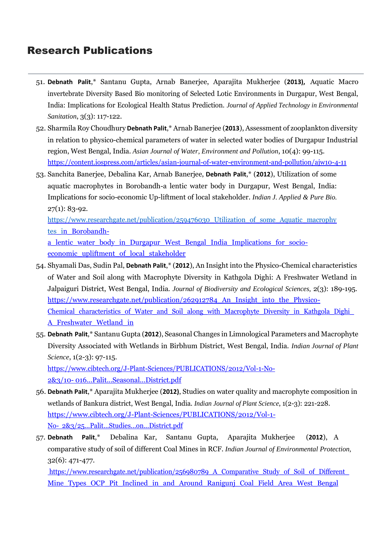- 51. **Debnath Palit**,\* Santanu Gupta, Arnab Banerjee, Aparajita Mukherjee (**2013),** Aquatic Macro invertebrate Diversity Based Bio monitoring of Selected Lotic Environments in Durgapur, West Bengal, India: Implications for Ecological Health Status Prediction. *Journal of Applied Technology in Environmental Sanitation*, 3(3): 117-122.
- 52. Sharmila Roy Choudhury **Debnath Palit**,\* Arnab Banerjee (**2013**), Assessment of zooplankton diversity in relation to physico-chemical parameters of water in selected water bodies of Durgapur Industrial region, West Bengal, India. *Asian Journal of Water, Environment and Pollution*, 10(4): 99-115. <https://content.iospress.com/articles/asian-journal-of-water-environment-and-pollution/ajw10-4-11>
- 53. Sanchita Banerjee, Debalina Kar, Arnab Banerjee, **Debnath Palit**,\* (**2012**), Utilization of some aquatic macrophytes in Borobandh-a lentic water body in Durgapur, West Bengal, India: Implications for socio-economic Up-liftment of local stakeholder. *Indian J. Applied & Pure Bio.*  $27(1): 83-92.$

[https://www.researchgate.net/publication/259476030\\_Utilization\\_of\\_some\\_Aquatic\\_macrophy](https://www.researchgate.net/publication/259476030_Utilization_of_some_Aquatic_macrophytes_i) tes in Borobandh-

a\_lentic\_water\_body\_in\_Durgapur\_West\_Bengal\_India\_Implications\_for\_socioeconomic upliftment of local stakeholder

- 54. Shyamali Das, Sudin Pal, **Debnath Palit**,\* (**2012**), An Insight into the Physico-Chemical characteristics of Water and Soil along with Macrophyte Diversity in Kathgola Dighi: A Freshwater Wetland in Jalpaiguri District, West Bengal, India. *Journal of Biodiversity and Ecological Sciences,* 2(3): 189-19[5.](https://www.researchgate.net/publication/262912784_An_Insight_into_the_Physico-Chemical_characteristics_of_Water_and_Soil_along_with_Macrophyte_Diversity_in_Kathgola_Dighi_A_Freshwater_Wetland_in) https://www.researchgate.net/publication/262912784 An Insight into the Physico-Chemical characteristics of Water and Soil along with Macrophyte Diversity in Kathgola Dighi A Freshwater Wetland in
- 55. **Debnath Palit**,\* Santanu Gupta (**2012**), Seasonal Changes in Limnological Parameters and Macrophyte Diversity Associated with Wetlands in Birbhum District, West Bengal, India. *Indian Journal of Plant Science*, 1(2-3): 97-115. [https://www.cibtech.org/J-Plant-Sciences/PUBLICATIONS/2012/Vol-1-No-](https://www.cibtech.org/J-Plant-Sciences/PUBLICATIONS/2012/Vol-1-No-2%263/10-016...Palit...Seasonal...District.pdf)

[2&3/10-](https://www.cibtech.org/J-Plant-Sciences/PUBLICATIONS/2012/Vol-1-No-2%263/10-016...Palit...Seasonal...District.pdf) [016...Palit...Seasonal...District.pdf](https://www.cibtech.org/J-Plant-Sciences/PUBLICATIONS/2012/Vol-1-No-2%263/10-016...Palit...Seasonal...District.pdf)

- 56. **Debnath Palit**,\* Aparajita Mukherjee (**2012)**, Studies on water quality and macrophyte composition in wetlands of Bankura district, West Bengal, India. *Indian Journal of Plant Science*, 1(2-3): 221-228. [https://www.cibtech.org/J-Plant-Sciences/PUBLICATIONS/2012/Vol-1-](https://www.cibtech.org/J-Plant-Sciences/PUBLICATIONS/2012/Vol-1-No-2%263/25...Palit...Studies...on...District.pdf) [No-](https://www.cibtech.org/J-Plant-Sciences/PUBLICATIONS/2012/Vol-1-No-2%263/25...Palit...Studies...on...District.pdf) [2&3/25...Palit...Studies...on...District.pdf](https://www.cibtech.org/J-Plant-Sciences/PUBLICATIONS/2012/Vol-1-No-2%263/25...Palit...Studies...on...District.pdf)
- 57. **Debnath Palit**,\* Debalina Kar, Santanu Gupta, Aparajita Mukherjee (**2012**), A comparative study of soil of different Coal Mines in RCF. *Indian Journal of Environmental Protection,* 32(6): 471-477.

https://www.researchgate.net/publication/256980789 A Comparative Study of Soil of Different Mine\_Types\_OCP\_Pit\_Inclined\_in\_and\_Around\_Ranigunj\_Coal\_Field\_Area\_West\_Bengal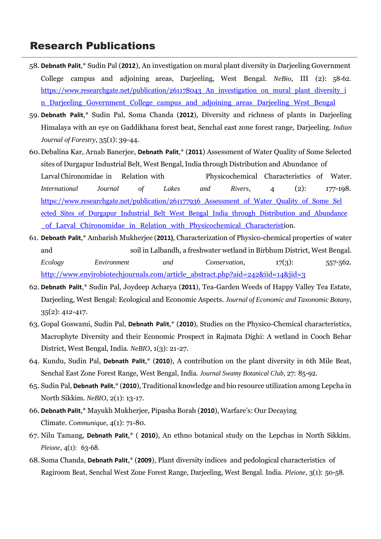- 58. **Debnath Palit**,\* Sudin Pal (**2012**), An investigation on mural plant diversity in Darjeeling Government College campus and adjoining areas, Darjeeling, West Bengal. *NeBio*, III (2): 58-62. https://www.researchgate.net/publication/261178043 An investigation on mural plant diversity i n\_Darjeeling\_Government\_College\_campus\_and\_adjoining\_areas\_Darjeeling\_West\_Bengal
- 59. **Debnath Palit**,\* Sudin Pal, Soma Chanda (**2012**), Diversity and richness of plants in Darjeeling Himalaya with an eye on Gaddikhana forest beat, Senchal east zone forest range, Darjeeling. *Indian Journal of Forestry*, 35(1): 39-44.
- 60.Debalina Kar, Arnab Banerjee, **Debnath Palit**,\* (**2011**) Assessment of Water Quality of Some Selected sites of Durgapur Industrial Belt, West Bengal, India through Distribution and Abundance of LarvalChironomidae in Relation with Physicochemical Characteristics of Water. *International Journal of Lakes and Rivers*, 4 (2): 177-19[8.](https://www.researchgate.net/publication/261177936_Assessment_of_Water_Quality_of_Some_Selected_Sites_of_Durgapur_Industrial_Belt_West_Bengal_India_through_Distribution_and_Abundance_of_Larval_Chironomidae_in_Relation_with_Physicochemical_Characterist) [https://www.researchgate.net/publication/261177936\\_Assessment\\_of\\_Water\\_Quality\\_of\\_Some\\_Sel](https://www.researchgate.net/publication/261177936_Assessment_of_Water_Quality_of_Some_Selected_Sites_of_Durgapur_Industrial_Belt_West_Bengal_India_through_Distribution_and_Abundance_of_Larval_Chironomidae_in_Relation_with_Physicochemical_Characterist) ected Sites of Durgapur Industrial Belt West Bengal India through Distribution and Abundance [\\_of\\_Larval\\_Chironomidae\\_in\\_Relation\\_with\\_Physicochemical\\_Characteristi](https://www.researchgate.net/publication/261177936_Assessment_of_Water_Quality_of_Some_Selected_Sites_of_Durgapur_Industrial_Belt_West_Bengal_India_through_Distribution_and_Abundance_of_Larval_Chironomidae_in_Relation_with_Physicochemical_Characterist)on.
- 61. **Debnath Palit**,\* Ambarish Mukherjee (**2011)**, Characterization of Physico-chemical properties of water and soil in Lalbandh, a freshwater wetland in Birbhum District, West Bengal. *Ecology Environment and Conservation*, 17(3): 557-56[2.](http://www.envirobiotechjournals.com/article_abstract.php?aid=242&iid=14&jid=3) [http://www.envirobiotechjournals.com/article\\_abstract.php?aid=242&iid=14&jid=3](http://www.envirobiotechjournals.com/article_abstract.php?aid=242&iid=14&jid=3)
- 62. **Debnath Palit**,\* Sudin Pal, Joydeep Acharya (**2011**), Tea-Garden Weeds of Happy Valley Tea Estate, Darjeeling, West Bengal: Ecological and Economic Aspects. *Journal of Economic and Taxonomic Botany*, 35(2): 412-417.
- 63. Gopal Goswami, Sudin Pal, **Debnath Palit**,\* (**2010**), Studies on the Physico-Chemical characteristics, Macrophyte Diversity and their Economic Prospect in Rajmata Dighi: A wetland in Cooch Behar District, West Bengal, India. *NeBIO*, 1(3): 21-27.
- 64. Kundu, Sudin Pal, **Debnath Palit**,\* (**2010**), A contribution on the plant diversity in 6th Mile Beat, Senchal East Zone Forest Range, West Bengal, India. *Journal Swamy Botanical Club,* 27: 85-92.
- 65. Sudin Pal, **Debnath Palit**,\* (**2010**), Traditional knowledge and bio resource utilization among Lepcha in North Sikkim. *NeBIO*, 2(1): 13-17.
- 66. **Debnath Palit**,\* Mayukh Mukherjee, Pipasha Borah (**2010**), Warfare's: Our Decaying Climate. *Communique*, 4(1): 71-80.
- 67. Nilu Tamang, **Debnath Palit**,\* ( **2010**), An ethno botanical study on the Lepchas in North Sikkim. *Pleione*, 4(1): 63-68.
- 68.Soma Chanda, **Debnath Palit**,\* (**2009**), Plant diversity indices and pedological characteristics of Ragiroom Beat, Senchal West Zone Forest Range, Darjeeling, West Bengal. India. *Pleione*, 3(1): 50-58.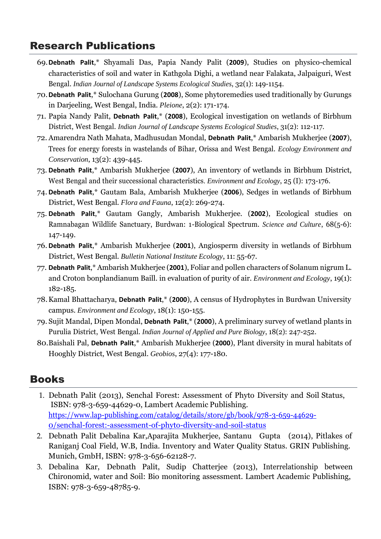- 69.**Debnath Palit**,\* Shyamali Das, Papia Nandy Palit (**2009**), Studies on physico-chemical characteristics of soil and water in Kathgola Dighi, a wetland near Falakata, Jalpaiguri, West Bengal. *Indian Journal of Landscape Systems Ecological Studies*, 32(1): 149-1154.
- 70.**Debnath Palit**,\* Sulochana Gurung (**2008**), Some phytoremedies used traditionally by Gurungs in Darjeeling, West Bengal, India. *Pleione*, 2(2): 171-174.
- 71. Papia Nandy Palit, **Debnath Palit**,\* (**2008**), Ecological investigation on wetlands of Birbhum District, West Bengal. *Indian Journal of Landscape Systems Ecological Studies*, 31(2): 112-117.
- 72. Amarendra Nath Mahata, Madhusudan Mondal, **Debnath Palit**,\* Ambarish Mukherjee (**2007**), Trees for energy forests in wastelands of Bihar, Orissa and West Bengal. *Ecology Environment and Conservation*, 13(2): 439-445.
- 73. **Debnath Palit**,\* Ambarish Mukherjee (**2007**), An inventory of wetlands in Birbhum District, West Bengal and their successional characteristics*. Environment and Ecology*, 25 (I): 173-176.
- 74. **Debnath Palit**,\* Gautam Bala, Ambarish Mukherjee (**2006**), Sedges in wetlands of Birbhum District, West Bengal. *Flora and Fauna*, 12(2): 269-274.
- 75. **Debnath Palit**,\* Gautam Gangly, Ambarish Mukherjee. (**2002**), Ecological studies on Ramnabagan Wildlife Sanctuary, Burdwan: 1-Biological Spectrum. *Science and Culture*, 68(5-6): 147-149.
- 76. **Debnath Palit**,\* Ambarish Mukherjee (**2001**), Angiosperm diversity in wetlands of Birbhum District, West Bengal. *Bulletin National Institute Ecology*, 11: 55-67.
- 77. **Debnath Palit**,\* Ambarish Mukherjee (**2001**), Foliar and pollen characters of Solanum nigrum L. and Croton bonplandianum Baill. in evaluation of purity of air. *Environment and Ecology*, 19(1): 182-185.
- 78.Kamal Bhattacharya, **Debnath Palit**,\* (**2000**), A census of Hydrophytes in Burdwan University campus. *Environment and Ecology*, 18(1): 150-155.
- 79. Sujit Mandal, Dipen Mondal, **Debnath Palit**,\* (**2000**), A preliminary survey of wetland plants in Purulia District, West Bengal. *Indian Journal of Applied and Pure Biology*, 18(2): 247-252.
- 80.Baishali Pal, **Debnath Palit**,\* Ambarish Mukherjee (**2000**), Plant diversity in mural habitats of Hooghly District, West Bengal. *Geobios*, 27(4): 177-180.

# Books

- 1. Debnath Palit (2013), Senchal Forest: Assessment of Phyto Diversity and Soil Status, ISBN: 978-3-659-44629-0, Lambert Academic Publishing. https:/[/www.lap-publishing.com/catalog/details/store/gb/book/978-3-659-44629-](http://www.lap-publishing.com/catalog/details/store/gb/book/978-3-659-44629-) 0/senchal-forest:-assessment-of-phyto-diversity-and-soil-status
- 2. Debnath Palit Debalina Kar,Aparajita Mukherjee, Santanu Gupta (2014), Pitlakes of Raniganj Coal Field, W.B, India. Inventory and Water Quality Status. GRIN Publishing. Munich, GmbH, ISBN: 978-3-656-62128-7.
- 3. Debalina Kar, Debnath Palit, Sudip Chatterjee (2013), Interrelationship between Chironomid, water and Soil: Bio monitoring assessment. Lambert Academic Publishing, ISBN: 978-3-659-48785-9.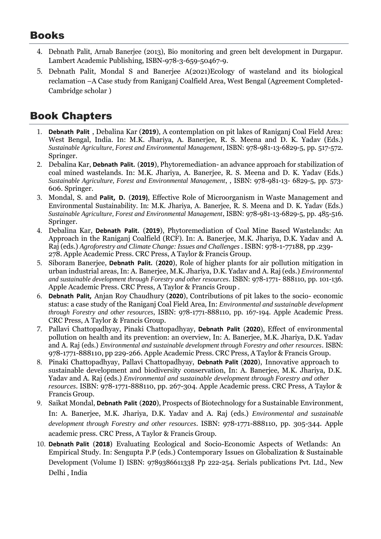### Books

- 4. Debnath Palit, Arnab Banerjee (2013), Bio monitoring and green belt development in Durgapur. Lambert Academic Publishing, ISBN-978-3-659-50467-9.
- 5. Debnath Palit, Mondal S and Banerjee A(2021)Ecology of wasteland and its biological reclamation –A Case study from Raniganj Coalfield Area, West Bengal (Agreement Completed-Cambridge scholar )

# Book Chapters

- 1. **Debnath Palit** , Debalina Kar (**2019**), A contemplation on pit lakes of Raniganj Coal Field Area: West Bengal, India. In: M.K. Jhariya, A. Banerjee, R. S. Meena and D. K. Yadav (Eds.) *Sustainable Agriculture, Forest and Environmental Management*, ISBN: 978-981-13-6829-5, pp. 517-572. Springer.
- 2. Debalina Kar, **Debnath Palit.** (**2019**), Phytoremediation- an advance approach for stabilization of coal mined wastelands. In: M.K. Jhariya, A. Banerjee, R. S. Meena and D. K. Yadav (Eds.) *Sustainable Agriculture, Forest and Environmental Management*, , ISBN: 978-981-13- 6829-5, pp. 573- 606. Springer.
- 3. Mondal, S. and **Palit, D.** (**2019)**, Effective Role of Microorganism in Waste Management and Environmental Sustainability. In: M.K. Jhariya, A. Banerjee, R. S. Meena and D. K. Yadav (Eds.) *Sustainable Agriculture, Forest and Environmental Management*, ISBN: 978-981-13-6829-5, pp. 485-516. Springer.
- 4. Debalina Kar, **Debnath Palit.** (**2019**), Phytoremediation of Coal Mine Based Wastelands: An Approach in the Raniganj Coalfield (RCF). In: A. Banerjee, M.K. Jhariya, D.K. Yadav and A. Raj (eds.) *Agroforestry and Climate Change: Issues and Challenges* . ISBN: 978-1-77188, pp .239- 278. Apple Academic Press. CRC Press, A Taylor & Francis Group.
- 5. Siboram Banerjee, **Debnath Palit.** (**2020**), Role of higher plants for air pollution mitigation in urban industrial areas, In: A. Banerjee, M.K. Jhariya, D.K. Yadav and A. Raj (eds.) *Environmental and sustainable development through Forestry and other resources*. ISBN: 978-1771- 888110, pp. 101-136. Apple Academic Press. CRC Press, A Taylor & Francis Group .
- 6. **Debnath Palit,** Anjan Roy Chaudhury (**2020**), Contributions of pit lakes to the socio- economic status: a case study of the Raniganj Coal Field Area, In: *Environmental and sustainable development through Forestry and other resources*, ISBN: 978-1771-888110, pp. 167-194. Apple Academic Press. CRC Press, A Taylor & Francis Group.
- 7. Pallavi Chattopadhyay, Pinaki Chattopadhyay, **Debnath Palit** (**2020**), Effect of environmental pollution on health and its prevention: an overview, In: A. Banerjee, M.K. Jhariya, D.K. Yadav and A. Raj (eds.) *Environmental and sustainable development through Forestry and other resources*. ISBN: 978-1771-888110, pp 229-266. Apple Academic Press. CRC Press, A Taylor & Francis Group.
- 8. Pinaki Chattopadhyay, Pallavi Chattopadhyay, **Debnath Palit** (**2020**), Innovative approach to sustainable development and biodiversity conservation, In: A. Banerjee, M.K. Jhariya, D.K. Yadav and A. Raj (eds.) *Environmental and sustainable development through Forestry and other resources*. ISBN: 978-1771-888110, pp. 267-304. Apple Academic press. CRC Press, A Taylor & Francis Group.
- 9. Saikat Mondal, **Debnath Palit** (**2020**), Prospects of Biotechnology for a Sustainable Environment, In: A. Banerjee, M.K. Jhariya, D.K. Yadav and A. Raj (eds.) *Environmental and sustainable development through Forestry and other resources*. ISBN: 978-1771-888110, pp. 305-344. Apple academic press. CRC Press, A Taylor & Francis Group.
- 10. **Debnath Palit** (**2018**) Evaluating Ecological and Socio-Economic Aspects of Wetlands: An Empirical Study. In: Sengupta P.P (eds.) Contemporary Issues on Globalization & Sustainable Development (Volume I) ISBN: 9789386611338 Pp 222-254. Serials publications Pvt. Ltd., New Delhi , India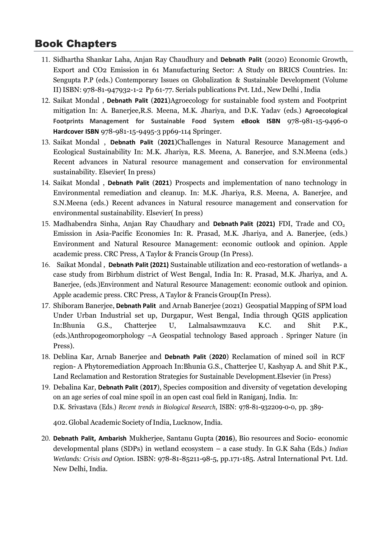### Book Chapters

- 11. Sidhartha Shankar Laha, Anjan Ray Chaudhury and **Debnath Palit** (2020) Economic Growth, Export and CO2 Emission in 61 Manufacturing Sector: A Study on BRICS Countries. In: Sengupta P.P (eds.) Contemporary Issues on Globalization & Sustainable Development (Volume II)ISBN: 978-81-947932-1-2 Pp 61-77. Serials publications Pvt. Ltd., New Delhi , India
- 12. Saikat Mondal , **Debnath Palit** (**2021**)Agroecology for sustainable food system and Footprint mitigation In: A. Banerjee,R.S. Meena, M.K. Jhariya, and D.K. Yadav (eds.) **Agroecological Footprints Management for Sustainable Food System eBook ISBN** 978-981-15-9496-0 **Hardcover ISBN** 978-981-15-9495-3 pp69-114 Springer.
- 13. Saikat Mondal , **Debnath Palit** (**2021**)Challenges in Natural Resource Management and Ecological Sustainability In: M.K. Jhariya, R.S. Meena, A. Banerjee, and S.N.Meena (eds.) Recent advances in Natural resource management and conservation for environmental sustainability. Elsevier( In press)
- 14. Saikat Mondal , **Debnath Palit** (**2021**) Prospects and implementation of nano technology in Environmental remediation and cleanup. In: M.K. Jhariya, R.S. Meena, A. Banerjee, and S.N.Meena (eds.) Recent advances in Natural resource management and conservation for environmental sustainability. Elsevier( In press)
- 15. Madhabendra Sinha, Anjan Ray Chaudhary and **Debnath Palit (2021)** FDI, Trade and CO<sup>2</sup> Emission in Asia-Pacific Economies In: R. Prasad, M.K. Jhariya, and A. Banerjee, (eds.) Environment and Natural Resource Management: economic outlook and opinion. Apple academic press. CRC Press, A Taylor & Francis Group (In Press).
- 16. Saikat Mondal , **Debnath Palit (2021)** Sustainable utilization and eco-restoration of wetlands- a case study from Birbhum district of West Bengal, India In: R. Prasad, M.K. Jhariya, and A. Banerjee, (eds.)Environment and Natural Resource Management: economic outlook and opinion. Apple academic press. CRC Press, A Taylor & Francis Group(In Press).
- 17. Shiboram Banerjee, **Debnath Palit** and Arnab Banerjee (2021) Geospatial Mapping of SPM load Under Urban Industrial set up, Durgapur, West Bengal, India through QGIS application In:Bhunia G.S., Chatterjee U, Lalmalsawmzauva K.C. and Shit P.K., (eds.)Anthropogeomorphology –A Geospatial technology Based approach . Springer Nature (in Press).
- 18. Deblina Kar, Arnab Banerjee and **Debnath Palit** (**2020**) Reclamation of mined soil in RCF region- A Phytoremediation Approach In:Bhunia G.S., Chatterjee U, Kashyap A. and Shit P.K., Land Reclamation and Restoration Strategies for Sustainable Development.Elsevier (in Press)
- 19. Debalina Kar, **Debnath Palit** (**2017**), Species composition and diversity of vegetation developing on an age series of coal mine spoil in an open cast coal field in Raniganj, India. In: D.K. Srivastava (Eds.) *Recent trends in Biological Research*, ISBN: 978-81-932209-0-0, pp. 389-

402. Global Academic Society of India, Lucknow, India.

20. **Debnath Palit, Ambarish** Mukherjee, Santanu Gupta (**2016**), Bio resources and Socio- economic developmental plans (SDPs) in wetland ecosystem – a case study. In G.K Saha (Eds.) *Indian Wetlands: Crisis and Option*. ISBN: 978-81-85211-98-5, pp.171-185. Astral International Pvt. Ltd. New Delhi, India.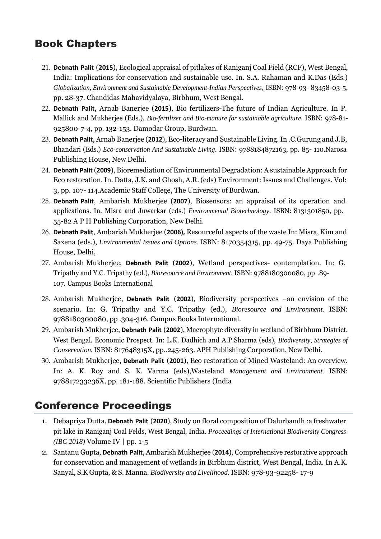### Book Chapters

- 21. **Debnath Palit** (**2015**), Ecological appraisal of pitlakes of Raniganj Coal Field (RCF), West Bengal, India: Implications for conservation and sustainable use. In. S.A. Rahaman and K.Das (Eds.) *Globalization, Environment and Sustainable Development-Indian Perspectives*, ISBN: 978-93- 83458-03-5, pp. 28-37. Chandidas Mahavidyalaya, Birbhum, West Bengal.
- 22. **Debnath Palit**, Arnab Banerjee (**2015**), Bio fertilizers-The future of Indian Agriculture. In P. Mallick and Mukherjee (Eds.). *Bio-fertilizer and Bio-manure for sustainable agriculture.* ISBN: 978-81- 925800-7-4, pp. 132-153. Damodar Group, Burdwan.
- 23. **Debnath Palit**, Arnab Banerjee (**2012**), Eco-literacy and Sustainable Living.In .C.Gurung and J.B, Bhandari (Eds.) *Eco-conservation And Sustainable Living*. ISBN: 9788184872163, pp. 85- 110.Narosa Publishing House, New Delhi.
- 24. **Debnath Palit**(**2009**), Bioremediation of Environmental Degradation: A sustainable Approach for Eco restoration. In. Datta, J.K. and Ghosh, A.R. (eds) Environment: Issues and Challenges. Vol: 3, pp. 107- 114.Academic Staff College, The University of Burdwan.
- 25. **Debnath Palit**, Ambarish Mukherjee (**2007**), Biosensors: an appraisal of its operation and applications. In. Misra and Juwarkar (eds.) *Environmental Biotechnology*. ISBN: 8131301850, pp. 55-82 A P H Publishing Corporation, New Delhi.
- 26. **Debnath Palit**, Ambarish Mukherjee (**2006),** Resourceful aspects of the waste In: Misra, Kim and Saxena (eds.), *Environmental Issues and Options.* ISBN: 8170354315, pp. 49-75. Daya Publishing House, Delhi,
- 27. Ambarish Mukherjee, **Debnath Palit** (**2002**), Wetland perspectives- contemplation. In: G. Tripathy and Y.C. Tripathy (ed.), *Bioresource and Environment.* ISBN: 9788180300080, pp .89- 107. Campus Books International
- 28. Ambarish Mukherjee, **Debnath Palit** (**2002**), Biodiversity perspectives –an envision of the scenario. In: G. Tripathy and Y.C. Tripathy (ed.), *Bioresource and Environment.* ISBN: 9788180300080, pp .304-316. Campus Books International.
- 29. Ambarish Mukherjee, **Debnath Palit** (**2002**), Macrophyte diversity in wetland of Birbhum District, West Bengal. Economic Prospect. In: L.K. Dadhich and A.P.Sharma (eds), *Biodiversity, Strategies of Conservation.*ISBN: 817648315X, pp..245-263. APH Publishing Corporation, New Delhi.
- 30. Ambarish Mukherjee, **Debnath Palit** (**2001**), Eco restoration of Mined Wasteland: An overview. In: A. K. Roy and S. K. Varma (eds),Wasteland *Management and Environment.* ISBN: 978817233236X, pp. 181-188. Scientific Publishers (India

### Conference Proceedings

- 1. Debapriya Dutta, **Debnath Palit** (**2020**), Study on floral composition of Dalurbandh :a freshwater pit lake in Raniganj Coal Felds, West Bengal, India. *Proceedings of International Biodiversity Congress (IBC 2018)* Volume IV | pp. 1-5
- 2. Santanu Gupta, **Debnath Palit**, Ambarish Mukherjee (**2014**), Comprehensive restorative approach for conservation and management of wetlands in Birbhum district, West Bengal, India. In A.K. Sanyal, S.K Gupta, & S. Manna. *Biodiversity and Livelihood.* ISBN: 978-93-92258- 17-9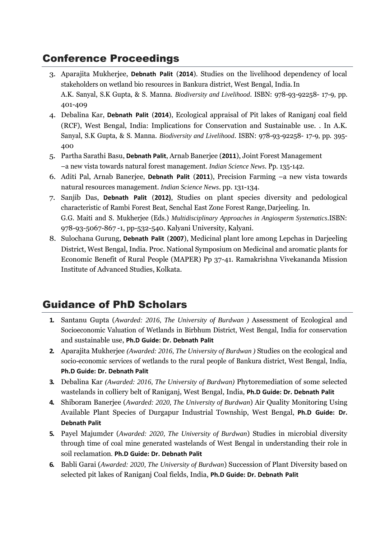# Conference Proceedings

- 3. Aparajita Mukherjee, **Debnath Palit** (**2014**). Studies on the livelihood dependency of local stakeholders on wetland bio resources in Bankura district, West Bengal, India.In A.K. Sanyal, S.K Gupta, & S. Manna. *Biodiversity and Livelihood*. ISBN: 978-93-92258- 17-9*,* pp. 401-409
- 4. Debalina Kar, **Debnath Palit** (**2014**), Ecological appraisal of Pit lakes of Raniganj coal field (RCF), West Bengal, India: Implications for Conservation and Sustainable use. . In A.K. Sanyal, S.K Gupta, & S. Manna. *Biodiversity and Livelihood*. ISBN: 978-93-92258- 17-9*,* pp. 395- 400
- 5. Partha Sarathi Basu, **Debnath Palit**, Arnab Banerjee (**2011**), Joint Forest Management –a new vista towards natural forest management. *Indian Science News*. Pp. 135-142.
- 6. Aditi Pal, Arnab Banerjee, **Debnath Palit** (**2011**), Precision Farming –a new vista towards natural resources management. *Indian Science News*. pp. 131-134.
- 7. Sanjib Das, **Debnath Palit** (**2012)**, Studies on plant species diversity and pedological characteristic of Rambi Forest Beat, Senchal East Zone Forest Range,Darjeeling. In. G.G. Maiti and S. Mukherjee (Eds.) *Multidisciplinary Approaches in Angiosperm Systematics*.ISBN: 978-93-5067-867 -1, pp-532-540. Kalyani University, Kalyani.
- 8. Sulochana Gurung, **Debnath Palit** (**2007**), Medicinal plant lore among Lepchas in Darjeeling District, West Bengal, India. Proc. National Symposium on Medicinal and aromatic plants for Economic Benefit of Rural People (MAPER) Pp 37-41. Ramakrishna Vivekananda Mission Institute of Advanced Studies, Kolkata.

# Guidance of PhD Scholars

- **1.** Santanu Gupta (*Awarded: 2016, The University of Burdwan )* Assessment of Ecological and Socioeconomic Valuation of Wetlands in Birbhum District, West Bengal, India for conservation and sustainable use, **Ph.D Guide: Dr. Debnath Palit**
- **2.** Aparajita Mukherjee *(Awarded: 2016, The University of Burdwan )* Studies on the ecological and socio-economic services of wetlands to the rural people of Bankura district, West Bengal, India, **Ph.D Guide: Dr. Debnath Palit**
- **3.** Debalina Kar *(Awarded: 2016, The University of Burdwan)* Phytoremediation of some selected wastelands in colliery belt of Raniganj, West Bengal, India, **Ph.D Guide: Dr. Debnath Palit**
- **4.** Shiboram Banerjee (*Awarded: 2020, The University of Burdwan*) Air Quality Monitoring Using Available Plant Species of Durgapur Industrial Township, West Bengal, **Ph.D Guide: Dr. Debnath Palit**
- **5.** Payel Majumder (*Awarded: 2020, The University of Burdwan*) Studies in microbial diversity through time of coal mine generated wastelands of West Bengal in understanding their role in soil reclamation*.* **Ph.D Guide: Dr. Debnath Palit**
- **6.** Babli Garai (*Awarded: 2020, The University of Burdwan*) Succession of Plant Diversity based on selected pit lakes of Raniganj Coal fields, India, **Ph.D Guide: Dr. Debnath Palit**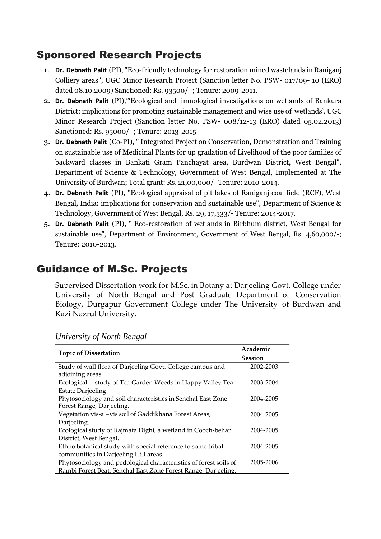### Sponsored Research Projects

- 1. **Dr. Debnath Palit** (PI), "Eco-friendly technology for restoration mined wastelands in Raniganj Colliery areas", UGC Minor Research Project (Sanction letter No. PSW- 017/09- 10 (ERO) dated 08.10.2009) Sanctioned: Rs. 93500/- ; Tenure: 2009-2011.
- 2. **Dr. Debnath Palit** (PI),"'Ecological and limnological investigations on wetlands of Bankura District: implications for promoting sustainable management and wise use of wetlands'. UGC Minor Research Project (Sanction letter No. PSW- 008/12-13 (ERO) dated 05.02.2013) Sanctioned: Rs. 95000/- ; Tenure: 2013-2015
- 3. **Dr. Debnath Palit** (Co-PI), " Integrated Project on Conservation, Demonstration and Training on sustainable use of Medicinal Plants for up gradation of Livelihood of the poor families of backward classes in Bankati Gram Panchayat area, Burdwan District, West Bengal", Department of Science & Technology, Government of West Bengal, Implemented at The University of Burdwan; Total grant: Rs. 21,00,000/- Tenure: 2010-2014.
- 4. **Dr. Debnath Palit** (PI), "Ecological appraisal of pit lakes of Raniganj coal field (RCF), West Bengal, India: implications for conservation and sustainable use", Department of Science & Technology, Government of West Bengal, Rs. 29, 17,533/- Tenure: 2014-2017.
- 5. **Dr. Debnath Palit** (PI), " Eco-restoration of wetlands in Birbhum district, West Bengal for sustainable use", Department of Environment, Government of West Bengal, Rs. 4,60,000/-; Tenure: 2010-2013.

# Guidance of M.Sc. Projects

Supervised Dissertation work for M.Sc. in Botany at Darjeeling Govt. College under University of North Bengal and Post Graduate Department of Conservation Biology, Durgapur Government College under The University of Burdwan and Kazi Nazrul University.

| <b>Topic of Dissertation</b>                                      | Academic       |
|-------------------------------------------------------------------|----------------|
|                                                                   | <b>Session</b> |
| Study of wall flora of Darjeeling Govt. College campus and        | 2002-2003      |
| adjoining areas                                                   |                |
| study of Tea Garden Weeds in Happy Valley Tea<br>Ecological       | 2003-2004      |
| <b>Estate Darjeeling</b>                                          |                |
| Phytosociology and soil characteristics in Senchal East Zone      | 2004-2005      |
| Forest Range, Darjeeling.                                         |                |
| Vegetation vis-a -vis soil of Gaddikhana Forest Areas,            | 2004-2005      |
| Darjeeling.                                                       |                |
| Ecological study of Rajmata Dighi, a wetland in Cooch-behar       | 2004-2005      |
| District, West Bengal.                                            |                |
| Ethno botanical study with special reference to some tribal       | 2004-2005      |
| communities in Darjeeling Hill areas.                             |                |
| Phytosociology and pedological characteristics of forest soils of | 2005-2006      |
| Rambi Forest Beat, Senchal East Zone Forest Range, Darjeeling.    |                |

#### *University of North Bengal*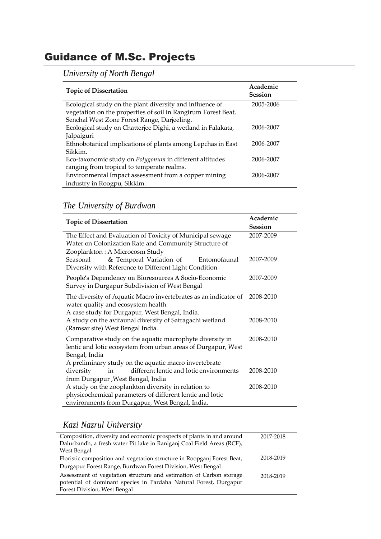# Guidance of M.Sc. Projects

*University of North Bengal*

| <b>Topic of Dissertation</b>                                  | Academic<br><b>Session</b> |
|---------------------------------------------------------------|----------------------------|
| Ecological study on the plant diversity and influence of      | 2005-2006                  |
| vegetation on the properties of soil in Rangirum Forest Beat, |                            |
| Senchal West Zone Forest Range, Darjeeling.                   |                            |
| Ecological study on Chatterjee Dighi, a wetland in Falakata,  | 2006-2007                  |
| Jalpaiguri                                                    |                            |
| Ethnobotanical implications of plants among Lepchas in East   | 2006-2007                  |
| Sikkim.                                                       |                            |
| Eco-taxonomic study on Polygonum in different altitudes       | 2006-2007                  |
| ranging from tropical to temperate realms.                    |                            |
| Environmental Impact assessment from a copper mining          | 2006-2007                  |
| industry in Roogpu, Sikkim.                                   |                            |

#### *The University of Burdwan*

| <b>Topic of Dissertation</b>                                                                                                                             | Academic       |
|----------------------------------------------------------------------------------------------------------------------------------------------------------|----------------|
|                                                                                                                                                          | <b>Session</b> |
| The Effect and Evaluation of Toxicity of Municipal sewage                                                                                                | 2007-2009      |
| Water on Colonization Rate and Community Structure of                                                                                                    |                |
| Zooplankton: A Microcosm Study<br>& Temporal Variation of<br>Seasonal<br>Entomofaunal<br>Diversity with Reference to Different Light Condition           | 2007-2009      |
| People's Dependency on Bioresources A Socio-Economic<br>Survey in Durgapur Subdivision of West Bengal                                                    | 2007-2009      |
| The diversity of Aquatic Macro invertebrates as an indicator of<br>water quality and ecosystem health:<br>A case study for Durgapur, West Bengal, India. | 2008-2010      |
| A study on the avifaunal diversity of Satragachi wetland<br>(Ramsar site) West Bengal India.                                                             | 2008-2010      |
| Comparative study on the aquatic macrophyte diversity in<br>lentic and lotic ecosystem from urban areas of Durgapur, West<br>Bengal, India               | 2008-2010      |
| A preliminary study on the aquatic macro invertebrate                                                                                                    |                |
| different lentic and lotic environments<br>diversity<br>in                                                                                               | 2008-2010      |
| from Durgapur , West Bengal, India                                                                                                                       |                |
| A study on the zooplankton diversity in relation to                                                                                                      | 2008-2010      |
| physicochemical parameters of different lentic and lotic                                                                                                 |                |
| environments from Durgapur, West Bengal, India.                                                                                                          |                |

#### *Kazi Nazrul University*

| Composition, diversity and economic prospects of plants in and around                                                                    | 2017-2018 |
|------------------------------------------------------------------------------------------------------------------------------------------|-----------|
| Dalurbandh, a fresh water Pit lake in Raniganj Coal Field Areas (RCF),                                                                   |           |
| West Bengal                                                                                                                              |           |
| Floristic composition and vegetation structure in Roopganj Forest Beat,                                                                  | 2018-2019 |
| Durgapur Forest Range, Burdwan Forest Division, West Bengal                                                                              |           |
| Assessment of vegetation structure and estimation of Carbon storage<br>potential of dominant species in Pardaha Natural Forest, Durgapur | 2018-2019 |
| Forest Division, West Bengal                                                                                                             |           |